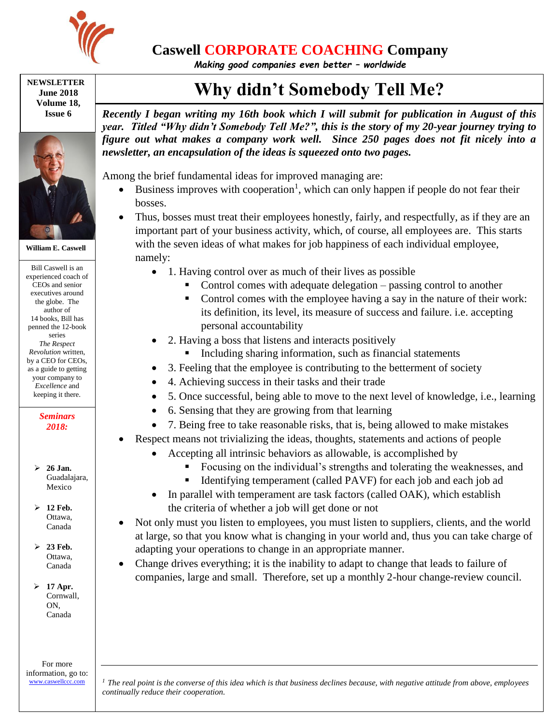

## **Caswell CORPORATE COACHING Company**

*Making good companies even better – worldwide*

**NEWSLETTER June 2018 Volume 18, Issue 6**



**William E. Caswell**

Bill Caswell is an experienced coach of CEOs and senior executives around the globe. The author of 14 books, Bill has penned the 12-book series *The Respect Revolution* written, by a CEO for CEOs, as a guide to getting your company to *Excellence* and keeping it there.

> *Seminars 2018:*

 **26 Jan.** Guadalajara, Mexico

 **12 Feb.** Ottawa, Canada

 $\geq 23$  Feb. Ottawa, Canada

 **17 Apr.** Cornwall, ON, Canada

For more information, go to: [www.caswellccc.com](http://www.caswellccc.com/)

## **Why didn't Somebody Tell Me?**

*Recently I began writing my 16th book which I will submit for publication in August of this year. Titled "Why didn't Somebody Tell Me?", this is the story of my 20-year journey trying to figure out what makes a company work well. Since 250 pages does not fit nicely into a newsletter, an encapsulation of the ideas is squeezed onto two pages.*

Among the brief fundamental ideas for improved managing are:

- $\bullet$  Business improves with cooperation<sup>1</sup>, which can only happen if people do not fear their bosses.
- Thus, bosses must treat their employees honestly, fairly, and respectfully, as if they are an important part of your business activity, which, of course, all employees are. This starts with the seven ideas of what makes for job happiness of each individual employee, namely:
	- 1. Having control over as much of their lives as possible
		- Control comes with adequate delegation passing control to another
		- Control comes with the employee having a say in the nature of their work: its definition, its level, its measure of success and failure. i.e. accepting personal accountability
		- 2. Having a boss that listens and interacts positively
			- Including sharing information, such as financial statements
	- 3. Feeling that the employee is contributing to the betterment of society
	- 4. Achieving success in their tasks and their trade
	- 5. Once successful, being able to move to the next level of knowledge, i.e., learning
	- 6. Sensing that they are growing from that learning
	- 7. Being free to take reasonable risks, that is, being allowed to make mistakes
- Respect means not trivializing the ideas, thoughts, statements and actions of people
	- Accepting all intrinsic behaviors as allowable, is accomplished by
		- Focusing on the individual's strengths and tolerating the weaknesses, and
		- Identifying temperament (called PAVF) for each job and each job ad
	- In parallel with temperament are task factors (called OAK), which establish the criteria of whether a job will get done or not
- Not only must you listen to employees, you must listen to suppliers, clients, and the world at large, so that you know what is changing in your world and, thus you can take charge of adapting your operations to change in an appropriate manner.
- Change drives everything; it is the inability to adapt to change that leads to failure of companies, large and small. Therefore, set up a monthly 2-hour change-review council.

*<sup>1</sup> The real point is the converse of this idea which is that business declines because, with negative attitude from above, employees continually reduce their cooperation.*